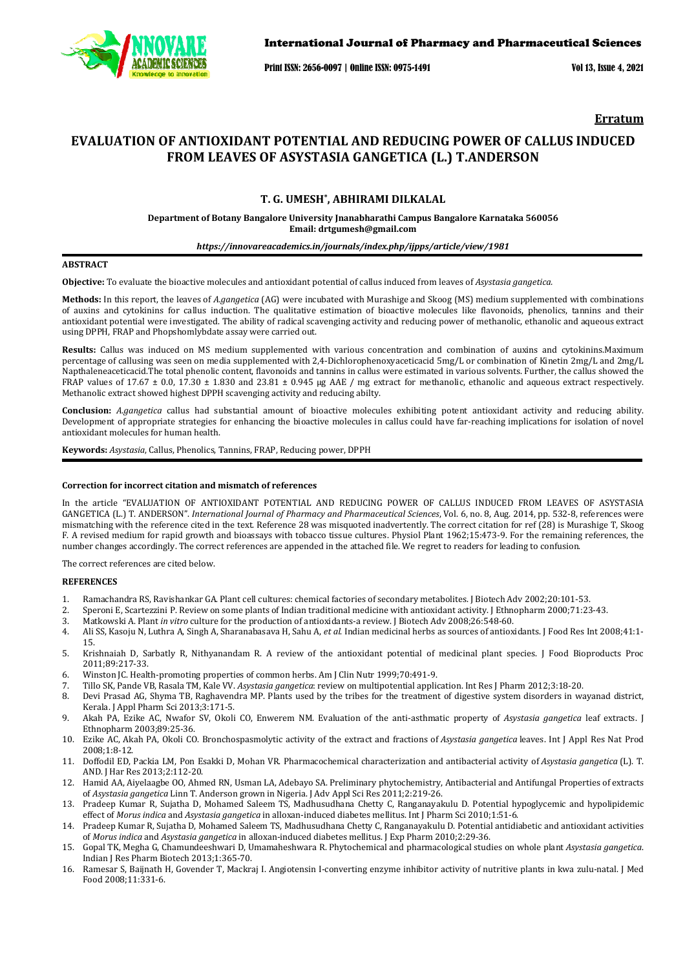

### International Journal of Pharmacy and Pharmaceutical Sciences

Print ISSN: 2656-0097 | Online ISSN: 0975-1491 Vol 13, Issue 4, 2021

**Erratum**

# **EVALUATION OF ANTIOXIDANT POTENTIAL AND REDUCING POWER OF CALLUS INDUCED FROM LEAVES OF ASYSTASIA GANGETICA (L.) T.ANDERSON**

## **T. G. UMESH\* , ABHIRAMI DILKALAL**

**Department of Botany Bangalore University Jnanabharathi Campus Bangalore Karnataka 560056 Email: drtgumesh@gmail.com**

## *https://innovareacademics.in/journals/index.php/ijpps/article/view/1981*

### **ABSTRACT**

**Objective:** To evaluate the bioactive molecules and antioxidant potential of callus induced from leaves of *Asystasia gangetica.* 

**Methods:** In this report, the leaves of *A.gangetica* (AG) were incubated with Murashige and Skoog (MS) medium supplemented with combinations of auxins and cytokinins for callus induction. The qualitative estimation of bioactive molecules like flavonoids, phenolics, tannins and their antioxidant potential were investigated. The ability of radical scavenging activity and reducing power of methanolic, ethanolic and aqueous extract using DPPH, FRAP and Phopshomlybdate assay were carried out.

**Results:** Callus was induced on MS medium supplemented with various concentration and combination of auxins and cytokinins.Maximum percentage of callusing was seen on media supplemented with 2,4-Dichlorophenoxyaceticacid 5mg/L or combination of Kinetin 2mg/L and 2mg/L Napthaleneaceticacid.The total phenolic content, flavonoids and tannins in callus were estimated in various solvents. Further, the callus showed the FRAP values of 17.67  $\pm$  0.0, 17.30  $\pm$  1.830 and 23.81  $\pm$  0.945 µg AAE / mg extract for methanolic, ethanolic and aqueous extract respectively. Methanolic extract showed highest DPPH scavenging activity and reducing abilty.

**Conclusion:** *A.gangetica* callus had substantial amount of bioactive molecules exhibiting potent antioxidant activity and reducing ability. Development of appropriate strategies for enhancing the bioactive molecules in callus could have far-reaching implications for isolation of novel antioxidant molecules for human health.

**Keywords:** *Asystasia*, Callus, Phenolics, Tannins, FRAP, Reducing power, DPPH

### **Correction for incorrect citation and mismatch of references**

In the article "EVALUATION OF ANTIOXIDANT POTENTIAL AND REDUCING POWER OF CALLUS INDUCED FROM LEAVES OF ASYSTASIA GANGETICA (L.) T. ANDERSON". *International Journal of Pharmacy and Pharmaceutical Sciences*, Vol. 6, no. 8, Aug. 2014, pp. 532-8, references were mismatching with the reference cited in the text. Reference 28 was misquoted inadvertently. The correct citation for ref (28) is Murashige T, Skoog F. A revised medium for rapid growth and bioassays with tobacco tissue cultures. Physiol Plant 1962;15:473-9. For the remaining references, the number changes accordingly. The correct references are appended in the attached file. We regret to readers for leading to confusion.

The correct references are cited below.

### **REFERENCES**

- 1. Ramachandra RS, Ravishankar GA. Plant cell cultures: chemical factories of secondary metabolites. J Biotech Adv 2002;20:101-53.
- 2. Speroni E, Scartezzini P. Review on some plants of Indian traditional medicine with antioxidant activity. J Ethnopharm 2000;71:23-43.<br>3. Matkowski A. Plant *in vitro* culture for the production of antioxidants-a review.
- 3. Matkowski A. Plant *in vitro* culture for the production of antioxidants-a review. J Biotech Adv 2008;26:548-60.
- 4. Ali SS, Kasoju N, Luthra A, Singh A, Sharanabasava H, Sahu A, *et al*. Indian medicinal herbs as sources of antioxidants. J Food Res Int 2008;41:1- 15.
- 5. Krishnaiah D, Sarbatly R, Nithyanandam R. A review of the antioxidant potential of medicinal plant species. J Food Bioproducts Proc 2011;89:217-33.
- 6. Winston JC. Health-promoting properties of common herbs. Am J Clin Nutr 1999;70:491-9.
- 7. Tillo SK, Pande VB, Rasala TM, Kale VV. *Asystasia gangetica*: review on multipotential application. Int Res J Pharm 2012;3:18-20.
- 8. Devi Prasad AG, Shyma TB, Raghavendra MP. Plants used by the tribes for the treatment of digestive system disorders in wayanad district, Kerala. J Appl Pharm Sci 2013;3:171-5.
- 9. Akah PA, Ezike AC, Nwafor SV, Okoli CO, Enwerem NM. Evaluation of the anti-asthmatic property of *Asystasia gangetica* leaf extracts. J Ethnopharm 2003;89:25-36.
- 10. Ezike AC, Akah PA, Okoli CO. Bronchospasmolytic activity of the extract and fractions of *Asystasia gangetica* leaves. Int J Appl Res Nat Prod 2008;1:8-12.
- 11. Doffodil ED, Packia LM, Pon Esakki D, Mohan VR. Pharmacochemical characterization and antibacterial activity of *Asystasia gangetica* (L). T. AND. J Har Res 2013;2:112-20.
- 12. Hamid AA, Aiyelaagbe OO, Ahmed RN, Usman LA, Adebayo SA. Preliminary phytochemistry, Antibacterial and Antifungal Properties of extracts of *Asystasia gangetica* Linn T. Anderson grown in Nigeria. J Adv Appl Sci Res 2011;2:219-26.
- 13. Pradeep Kumar R, Sujatha D, Mohamed Saleem TS, Madhusudhana Chetty C, Ranganayakulu D. Potential hypoglycemic and hypolipidemic effect of *Morus indica* and *Asystasia gangetica* in alloxan-induced diabetes mellitus. Int J Pharm Sci 2010;1:51-6.
- 14. Pradeep Kumar R, Sujatha D, Mohamed Saleem TS, Madhusudhana Chetty C, Ranganayakulu D. Potential antidiabetic and antioxidant activities of *Morus indica* and *Asystasia gangetica* in alloxan-induced diabetes mellitus. J Exp Pharm 2010;2:29-36.
- 15. Gopal TK, Megha G, Chamundeeshwari D, Umamaheshwara R. Phytochemical and pharmacological studies on whole plant *Asystasia gangetica*. Indian J Res Pharm Biotech 2013;1:365-70.
- 16. Ramesar S, Baijnath H, Govender T, Mackraj I. Angiotensin I-converting enzyme inhibitor activity of nutritive plants in kwa zulu-natal. J Med Food 2008;11:331-6.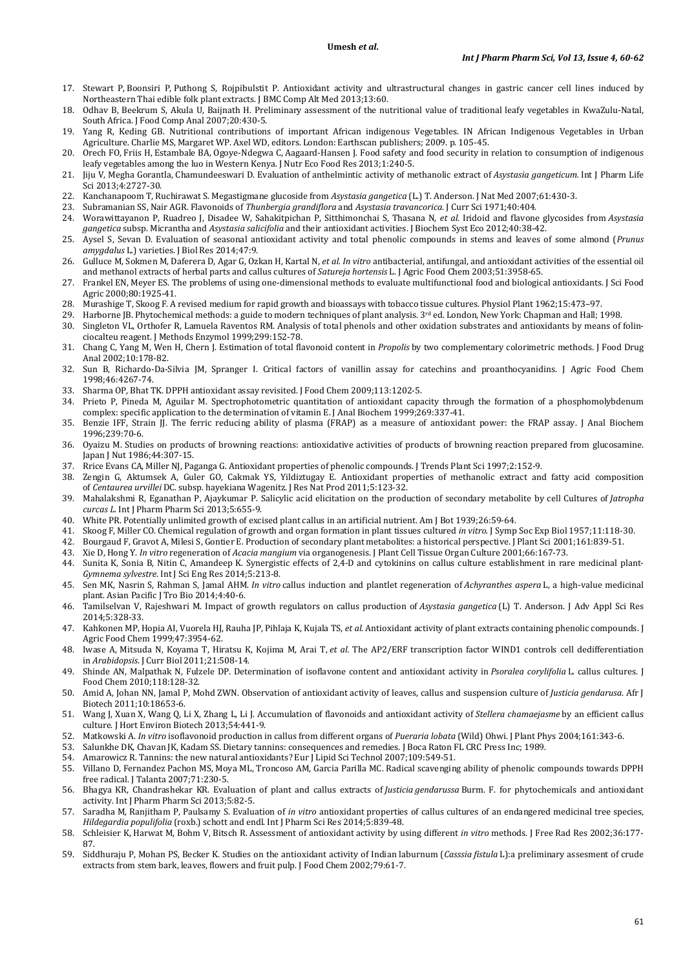- 17. Stewart P, Boonsiri P, Puthong S, Rojpibulstit P. Antioxidant activity and ultrastructural changes in gastric cancer cell lines induced by Northeastern Thai edible folk plant extracts. J BMC Comp Alt Med 2013;13:60.
- 18. Odhav B, Beekrum S, Akula U, Baijnath H. Preliminary assessment of the nutritional value of traditional leafy vegetables in KwaZulu-Natal, South Africa. J Food Comp Anal 2007;20:430-5.
- 19. Yang R, Keding GB. Nutritional contributions of important African indigenous Vegetables. IN African Indigenous Vegetables in Urban Agriculture. Charlie MS, Margaret WP. Axel WD, editors. London: Earthscan publishers; 2009. p. 105-45.
- 20. Orech FO, Friis H, Estambale BA, Ogoye-Ndegwa C, Aagaard-Hansen J. Food safety and food security in relation to consumption of indigenous leafy vegetables among the luo in Western Kenya. J Nutr Eco Food Res 2013;1:240-5.
- 21. Jiju V, Megha Gorantla, Chamundeeswari D. Evaluation of anthelmintic activity of methanolic extract of *Asystasia gangeticum.* Int J Pharm Life Sci 2013;4:2727-30.
- 22. Kanchanapoom T, Ruchirawat S. Megastigmane glucoside from *Asystasia gangetica* (L.) T. Anderson. J Nat Med 2007;61:430-3.
- 23. Subramanian SS, Nair AGR. Flavonoids of *Thunbergia grandiflora* and *Asystasia travancorica*. J Curr Sci 1971;40:404.
- 24. Worawittayanon P, Ruadreo J, Disadee W, Sahakitpichan P, Sitthimonchai S, Thasana N, *et al*. Iridoid and flavone glycosides from *Asystasia gangetica* subsp. Micrantha and *Asystasia salicifolia* and their antioxidant activities. J Biochem Syst Eco 2012;40:38-42.
- 25. Aysel S, Sevan D. Evaluation of seasonal antioxidant activity and total phenolic compounds in stems and leaves of some almond (*Prunus amygdalus* L.) varieties. J Biol Res 2014;47:9*.*
- 26. Gulluce M, Sokmen M, Daferera D, Agar G, Ozkan H, Kartal N, *et al. In vitro* antibacterial, antifungal, and antioxidant activities of the essential oil and methanol extracts of herbal parts and callus cultures of *Satureja hortensis* L. J Agric Food Chem 2003;51:3958-65.
- 27. Frankel EN, Meyer ES. The problems of using one-dimensional methods to evaluate multifunctional food and biological antioxidants. J Sci Food Agric 2000;80:1925-41.
- 28. Murashige T, Skoog F. A revised medium for rapid growth and bioassays with tobacco tissue cultures. Physiol Plant 1962;15:473–97.
- 29. Harborne JB. Phytochemical methods: a guide to modern techniques of plant analysis. 3rd ed. London, New York: Chapman and Hall; 1998. 30. Singleton VL, Orthofer R, Lamuela Raventos RM. Analysis of total phenols and other oxidation substrates and antioxidants by means of folinciocalteu reagent. J Methods Enzymol 1999;299:152-78.
- 31. Chang C, Yang M, Wen H, Chern J. Estimation of total flavonoid content in *Propolis* by two complementary colorimetric methods. J Food Drug Anal 2002;10:178-82.
- 32. Sun B, Richardo-Da-Silvia JM, Spranger I. Critical factors of vanillin assay for catechins and proanthocyanidins. J Agric Food Chem 1998;46:4267-74.
- 33. Sharma OP, Bhat TK. DPPH antioxidant assay revisited. J Food Chem 2009;113:1202-5.
- 34. Prieto P, Pineda M, Aguilar M. Spectrophotometric quantitation of antioxidant capacity through the formation of a phosphomolybdenum complex: specific application to the determination of vitamin E. J Anal Biochem 1999;269:337-41.
- 35. Benzie IFF, Strain JJ. The ferric reducing ability of plasma (FRAP) as a measure of antioxidant power: the FRAP assay. J Anal Biochem 1996;239:70-6.
- 36. Oyaizu M. Studies on products of browning reactions: antioxidative activities of products of browning reaction prepared from glucosamine. Japan J Nut 1986;44:307-15.
- 37. Rrice Evans CA, Miller NJ, Paganga G. Antioxidant properties of phenolic compounds. J Trends Plant Sci 1997;2:152-9.
- 38. Zengin G, Aktumsek A, Guler GO, Cakmak YS, Yildiztugay E. Antioxidant properties of methanolic extract and fatty acid composition of *Centaurea urvillei* DC. subsp. hayekiana Wagenitz. J Res Nat Prod 2011;5:123-32.
- 39. Mahalakshmi R, Eganathan P, Ajaykumar P. Salicylic acid elicitation on the production of secondary metabolite by cell Cultures of *Jatropha curcas L*. Int J Pharm Pharm Sci 2013;5:655-9.
- 40. White PR. Potentially unlimited growth of excised plant callus in an artificial nutrient. Am J Bot 1939;26:59-64.
- 41. Skoog F, Miller CO. Chemical regulation of growth and organ formation in plant tissues cultured *in vitro*. J Symp Soc Exp Biol 1957;11:118-30.
- 42. Bourgaud F, Gravot A, Milesi S, Gontier E. Production of secondary plant metabolites: a historical perspective. J Plant Sci 2001;161:839-51.
- 43. Xie D, Hong Y. *In vitro* regeneration of *Acacia mangium* via organogenesis. J Plant Cell Tissue Organ Culture 2001;66:167-73.
- 44. Sunita K, Sonia B, Nitin C, Amandeep K. Synergistic effects of 2,4-D and cytokinins on callus culture establishment in rare medicinal plant-*Gymnema sylvestre*. Int J Sci Eng Res 2014;5:213-8.
- 45. Sen MK, Nasrin S, Rahman S, Jamal AHM. *In vitro* callus induction and plantlet regeneration of *Achyranthes aspera* L, a high-value medicinal plant. Asian Pacific J Tro Bio 2014;4:40-6.
- 46. Tamilselvan V, Rajeshwari M. Impact of growth regulators on callus production of *Asystasia gangetica* (L) T. Anderson. J Adv Appl Sci Res 2014;5:328-33.
- 47. Kahkonen MP, Hopia AI, Vuorela HJ, Rauha JP, Pihlaja K, Kujala TS, *et al*. Antioxidant activity of plant extracts containing phenolic compounds. J Agric Food Chem 1999;47:3954-62.
- 48. Iwase A, Mitsuda N, Koyama T, Hiratsu K, Kojima M, Arai T, *et al.* The AP2/ERF transcription factor WIND1 controls cell dedifferentiation in *Arabidopsis*. J Curr Biol 2011;21:508-14.
- 49. Shinde AN, Malpathak N, Fulzele DP. Determination of isoflavone content and antioxidant activity in *Psoralea corylifolia* L. callus cultures. J Food Chem 2010;118:128-32.
- 50. Amid A, Johan NN, Jamal P, Mohd ZWN. Observation of antioxidant activity of leaves, callus and suspension culture of *Justicia gendarusa*. Afr J Biotech 2011;10:18653-6.
- 51. Wang J, Xuan X, Wang Q, Li X, Zhang L, Li J. Accumulation of flavonoids and antioxidant activity of *Stellera chamaejasme* by an efficient callus culture. J Hort Environ Biotech 2013;54:441-9.
- 52. Matkowski A. *In vitro* isoflavonoid production in callus from different organs of *Pueraria lobata* (Wild) Ohwi. J Plant Phys 2004;161:343-6.
- 53. Salunkhe DK, Chavan JK, Kadam SS. Dietary tannins: consequences and remedies. J Boca Raton FL CRC Press Inc; 1989.
- 54. Amarowicz R. Tannins: the new natural antioxidants? Eur J Lipid Sci Technol 2007;109:549-51.
- 55. Villano D, Fernandez Pachon MS, Moya ML, Troncoso AM, Garcia Parilla MC. Radical scavenging ability of phenolic compounds towards DPPH free radical. J Talanta 2007;71:230-5.
- 56. Bhagya KR, Chandrashekar KR. Evaluation of plant and callus extracts of *Justicia gendarussa* Burm. F. for phytochemicals and antioxidant activity. Int J Pharm Pharm Sci 2013;5:82-5.
- 57. Saradha M, Ranjitham P, Paulsamy S. Evaluation of *in vitro* antioxidant properties of callus cultures of an endangered medicinal tree species, *Hildegardia populifolia* (roxb.) schott and endl. Int J Pharm Sci Res 2014;5:839-48.
- 58. Schleisier K, Harwat M, Bohm V, Bitsch R. Assessment of antioxidant activity by using different *in vitro* methods. J Free Rad Res 2002;36:177- 87.
- 59. Siddhuraju P, Mohan PS, Becker K. Studies on the antioxidant activity of Indian laburnum (*Casssia fistula* L):a preliminary assesment of crude extracts from stem bark, leaves, flowers and fruit pulp. J Food Chem 2002;79:61-7.